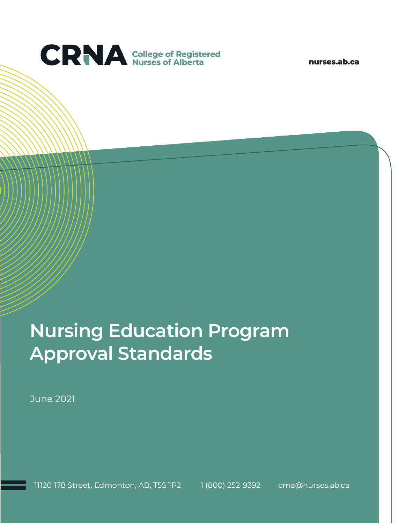

nurses.ab.ca

# **Nursing Education Program Approval Standards**

June 2021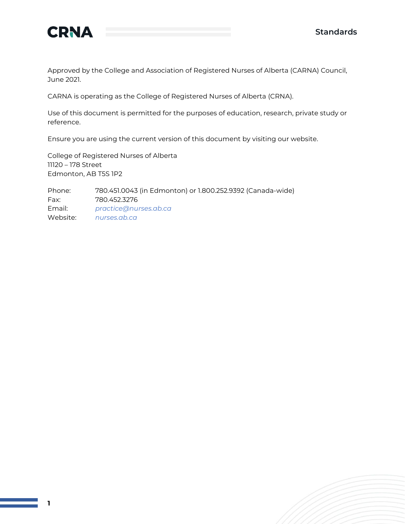



Approved by the College and Association of Registered Nurses of Alberta (CARNA) Council, June 2021.

CARNA is operating as the College of Registered Nurses of Alberta (CRNA).

Use of this document is permitted for the purposes of education, research, private study or reference.

Ensure you are using the current version of this document by visiting our website.

College of Registered Nurses of Alberta 11120 – 178 Street Edmonton, AB T5S 1P2

Phone: 780.451.0043 (in Edmonton) or 1.800.252.9392 (Canada-wide) Fax: 780.452.3276 Email: *[practice@nurses.ab.ca](mailto:practice@nurses.ab.ca)* Website: *[nurses.ab.ca](http://www.nurses.ab.ca/)*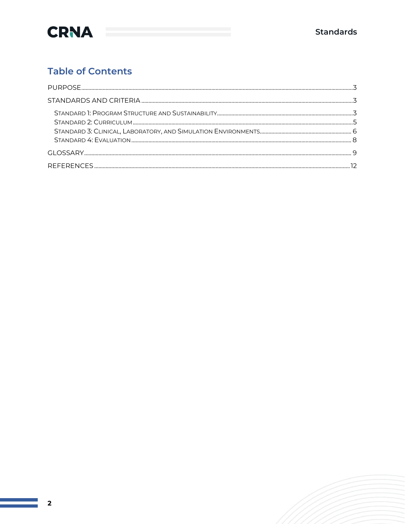

### **Table of Contents**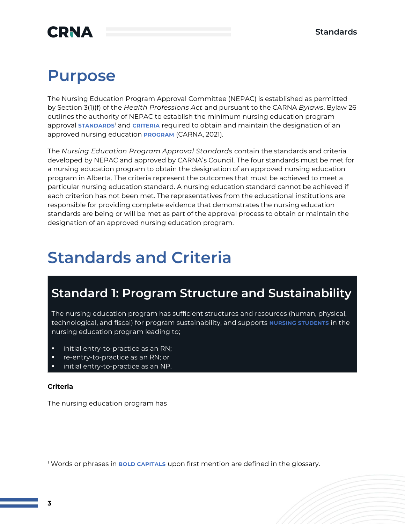# **CRNA**

## **Purpose**

The Nursing Education Program Approval Committee (NEPAC) is established as permitted by Section 3(1)(f) of the *Health Professions Act* and pursuant to the CARNA *Bylaws*. Bylaw 26 outlines the authority of NEPAC to establish the minimum nursing education program approval **STANDARDS**<sup>1</sup> and **CRITERIA** required to obtain and maintain the designation of an approved nursing education **PROGRAM** (CARNA, 2021).

The *Nursing Education Program Approval Standards* contain the standards and criteria developed by NEPAC and approved by CARNA's Council. The four standards must be met for a nursing education program to obtain the designation of an approved nursing education program in Alberta. The criteria represent the outcomes that must be achieved to meet a particular nursing education standard. A nursing education standard cannot be achieved if each criterion has not been met. The representatives from the educational institutions are responsible for providing complete evidence that demonstrates the nursing education standards are being or will be met as part of the approval process to obtain or maintain the designation of an approved nursing education program.

# **Standards and Criteria**

### **Standard 1: Program Structure and Sustainability**

The nursing education program has sufficient structures and resources (human, physical, technological, and fiscal) for program sustainability, and supports **NURSING STUDENTS** in the nursing education program leading to;

- initial entry-to-practice as an RN;
- re-entry-to-practice as an RN; or
- initial entry-to-practice as an NP.

#### **Criteria**

<sup>1</sup> Words or phrases in **BOLD CAPITALS** upon first mention are defined in the glossary.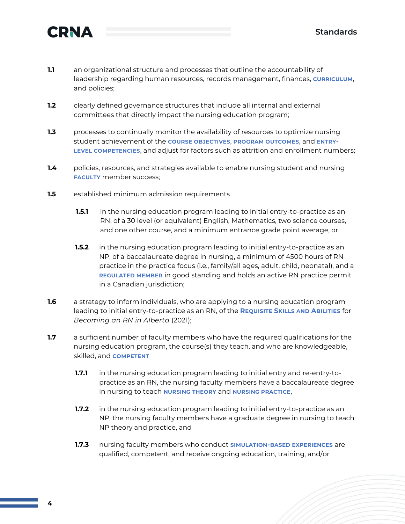

- **1.1** an organizational structure and processes that outline the accountability of leadership regarding human resources, records management, finances, **CURRICULUM**, and policies;
- **1.2** clearly defined governance structures that include all internal and external committees that directly impact the nursing education program;
- **1.3** processes to continually monitor the availability of resources to optimize nursing student achievement of the **COURSE OBJECTIVES**, **PROGRAM OUTCOMES**, and **ENTRY-LEVEL COMPETENCIES**, and adjust for factors such as attrition and enrollment numbers;
- **1.4** policies, resources, and strategies available to enable nursing student and nursing **FACULTY** member success;
- **1.5** established minimum admission requirements
	- **1.5.1** in the nursing education program leading to initial entry-to-practice as an RN, of a 30 level (or equivalent) English, Mathematics, two science courses, and one other course, and a minimum entrance grade point average, or
	- **1.5.2** in the nursing education program leading to initial entry-to-practice as an NP, of a baccalaureate degree in nursing, a minimum of 4500 hours of RN practice in the practice focus (i.e., family/all ages, adult, child, neonatal), and a **REGULATED MEMBER** in good standing and holds an active RN practice permit in a Canadian jurisdiction;
- **1.6** a strategy to inform individuals, who are applying to a nursing education program leading to initial entry-to-practice as an RN, of the **REQUISITE SKILLS AND ABILITIES** for *Becoming an RN in Alberta* (2021);
- **1.7** a sufficient number of faculty members who have the required qualifications for the nursing education program, the course(s) they teach, and who are knowledgeable, skilled, and **COMPETENT**
	- **1.7.1** in the nursing education program leading to initial entry and re-entry-topractice as an RN, the nursing faculty members have a baccalaureate degree in nursing to teach **NURSING THEORY** and **NURSING PRACTICE**,
	- **1.7.2** in the nursing education program leading to initial entry-to-practice as an NP, the nursing faculty members have a graduate degree in nursing to teach NP theory and practice, and
	- **1.7.3** nursing faculty members who conduct **SIMULATION-BASED EXPERIENCES** are qualified, competent, and receive ongoing education, training, and/or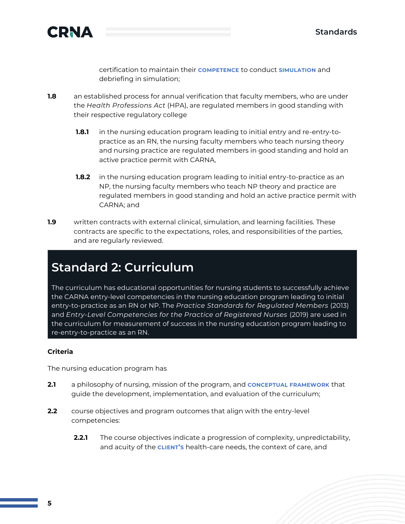

certification to maintain their **COMPETENCE** to conduct **SIMULATION** and debriefing in simulation;

- **1.8** an established process for annual verification that faculty members, who are under the *Health Professions Act* (HPA), are regulated members in good standing with their respective regulatory college
	- **1.8.1** in the nursing education program leading to initial entry and re-entry-topractice as an RN, the nursing faculty members who teach nursing theory and nursing practice are regulated members in good standing and hold an active practice permit with CARNA,
	- **1.8.2** in the nursing education program leading to initial entry-to-practice as an NP, the nursing faculty members who teach NP theory and practice are regulated members in good standing and hold an active practice permit with CARNA; and
- **1.9** written contracts with external clinical, simulation, and learning facilities. These contracts are specific to the expectations, roles, and responsibilities of the parties, and are regularly reviewed.

### **Standard 2: Curriculum**

The curriculum has educational opportunities for nursing students to successfully achieve the CARNA entry-level competencies in the nursing education program leading to initial entry-to-practice as an RN or NP. The *Practice Standards for Regulated Members* (2013) and *Entry-Level Competencies for the Practice of Registered Nurses* (2019) are used in the curriculum for measurement of success in the nursing education program leading to re-entry-to-practice as an RN.

#### **Criteria**

- **2.1** a philosophy of nursing, mission of the program, and **CONCEPTUAL FRAMEWORK** that guide the development, implementation, and evaluation of the curriculum;
- **2.2** course objectives and program outcomes that align with the entry-level competencies:
	- **2.2.1** The course objectives indicate a progression of complexity, unpredictability, and acuity of the **CLIENT'S** health-care needs, the context of care, and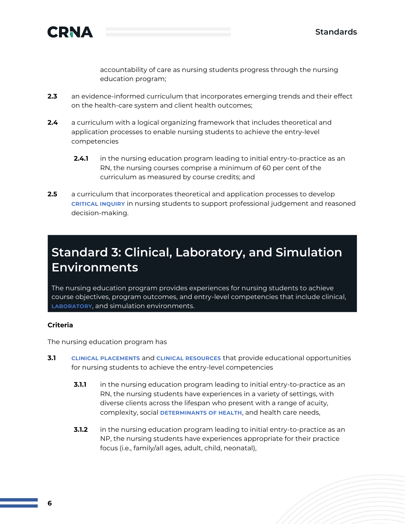

accountability of care as nursing students progress through the nursing education program;

- **2.3** an evidence-informed curriculum that incorporates emerging trends and their effect on the health-care system and client health outcomes;
- **2.4** a curriculum with a logical organizing framework that includes theoretical and application processes to enable nursing students to achieve the entry-level competencies
	- **2.4.1** in the nursing education program leading to initial entry-to-practice as an RN, the nursing courses comprise a minimum of 60 per cent of the curriculum as measured by course credits; and
- **2.5** a curriculum that incorporates theoretical and application processes to develop **CRITICAL INQUIRY** in nursing students to support professional judgement and reasoned decision-making.

### **Standard 3: Clinical, Laboratory, and Simulation Environments**

The nursing education program provides experiences for nursing students to achieve course objectives, program outcomes, and entry-level competencies that include clinical, **LABORATORY**, and simulation environments.

#### **Criteria**

- **3.1 CLINICAL PLACEMENTS** and **CLINICAL RESOURCES** that provide educational opportunities for nursing students to achieve the entry-level competencies
	- **3.1.1** in the nursing education program leading to initial entry-to-practice as an RN, the nursing students have experiences in a variety of settings, with diverse clients across the lifespan who present with a range of acuity, complexity, social **DETERMINANTS OF HEALTH**, and health care needs,
	- **3.1.2** in the nursing education program leading to initial entry-to-practice as an NP, the nursing students have experiences appropriate for their practice focus (i.e., family/all ages, adult, child, neonatal),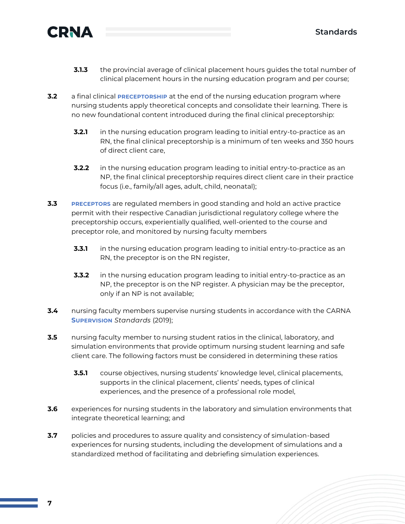



- **3.1.3** the provincial average of clinical placement hours guides the total number of clinical placement hours in the nursing education program and per course;
- **3.2** a final clinical **PRECEPTORSHIP** at the end of the nursing education program where nursing students apply theoretical concepts and consolidate their learning. There is no new foundational content introduced during the final clinical preceptorship:
	- **3.2.1** in the nursing education program leading to initial entry-to-practice as an RN, the final clinical preceptorship is a minimum of ten weeks and 350 hours of direct client care,
	- **3.2.2** in the nursing education program leading to initial entry-to-practice as an NP, the final clinical preceptorship requires direct client care in their practice focus (i.e., family/all ages, adult, child, neonatal);
- **3.3 PRECEPTORS** are regulated members in good standing and hold an active practice permit with their respective Canadian jurisdictional regulatory college where the preceptorship occurs, experientially qualified, well-oriented to the course and preceptor role, and monitored by nursing faculty members
	- **3.3.1** in the nursing education program leading to initial entry-to-practice as an RN, the preceptor is on the RN register,
	- **3.3.2** in the nursing education program leading to initial entry-to-practice as an NP, the preceptor is on the NP register. A physician may be the preceptor, only if an NP is not available;
- **3.4** nursing faculty members supervise nursing students in accordance with the CARNA **SUPERVISION** *Standards* (2019);
- **3.5** nursing faculty member to nursing student ratios in the clinical, laboratory, and simulation environments that provide optimum nursing student learning and safe client care. The following factors must be considered in determining these ratios
	- **3.5.1** course objectives, nursing students' knowledge level, clinical placements, supports in the clinical placement, clients' needs, types of clinical experiences, and the presence of a professional role model,
- **3.6** experiences for nursing students in the laboratory and simulation environments that integrate theoretical learning; and
- **3.7** policies and procedures to assure quality and consistency of simulation-based experiences for nursing students, including the development of simulations and a standardized method of facilitating and debriefing simulation experiences.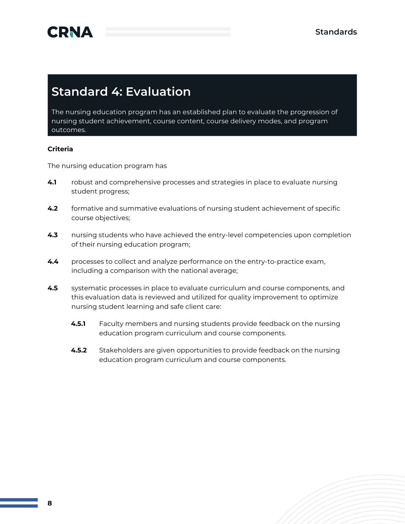

### **Standard 4: Evaluation**

The nursing education program has an established plan to evaluate the progression of nursing student achievement, course content, course delivery modes, and program outcomes.

#### **Criteria**

- **4.1** robust and comprehensive processes and strategies in place to evaluate nursing student progress;
- **4.2** formative and summative evaluations of nursing student achievement of specific course objectives;
- **4.3** nursing students who have achieved the entry-level competencies upon completion of their nursing education program;
- **4.4** processes to collect and analyze performance on the entry-to-practice exam, including a comparison with the national average;
- **4.5** systematic processes in place to evaluate curriculum and course components, and this evaluation data is reviewed and utilized for quality improvement to optimize nursing student learning and safe client care:
	- **4.5.1** Faculty members and nursing students provide feedback on the nursing education program curriculum and course components.
	- **4.5.2** Stakeholders are given opportunities to provide feedback on the nursing education program curriculum and course components.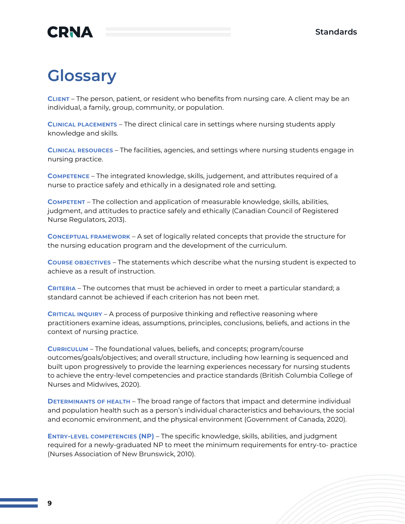

# **Glossary**

**CLIENT** – The person, patient, or resident who benefits from nursing care. A client may be an individual, a family, group, community, or population.

**CLINICAL PLACEMENTS** – The direct clinical care in settings where nursing students apply knowledge and skills.

**CLINICAL RESOURCES** – The facilities, agencies, and settings where nursing students engage in nursing practice.

**COMPETENCE** – The integrated knowledge, skills, judgement, and attributes required of a nurse to practice safely and ethically in a designated role and setting.

**COMPETENT** – The collection and application of measurable knowledge, skills, abilities, judgment, and attitudes to practice safely and ethically (Canadian Council of Registered Nurse Regulators, 2013).

**CONCEPTUAL FRAMEWORK** – A set of logically related concepts that provide the structure for the nursing education program and the development of the curriculum.

**COURSE OBJECTIVES** – The statements which describe what the nursing student is expected to achieve as a result of instruction.

**CRITERIA** – The outcomes that must be achieved in order to meet a particular standard; a standard cannot be achieved if each criterion has not been met.

**CRITICAL INQUIRY** – A process of purposive thinking and reflective reasoning where practitioners examine ideas, assumptions, principles, conclusions, beliefs, and actions in the context of nursing practice.

**CURRICULUM** – The foundational values, beliefs, and concepts; program/course outcomes/goals/objectives; and overall structure, including how learning is sequenced and built upon progressively to provide the learning experiences necessary for nursing students to achieve the entry-level competencies and practice standards (British Columbia College of Nurses and Midwives, 2020).

**DETERMINANTS OF HEALTH** – The broad range of factors that impact and determine individual and population health such as a person's individual characteristics and behaviours, the social and economic environment, and the physical environment (Government of Canada, 2020).

**ENTRY-LEVEL COMPETENCIES (NP)** – The specific knowledge, skills, abilities, and judgment required for a newly-graduated NP to meet the minimum requirements for entry-to- practice (Nurses Association of New Brunswick, 2010).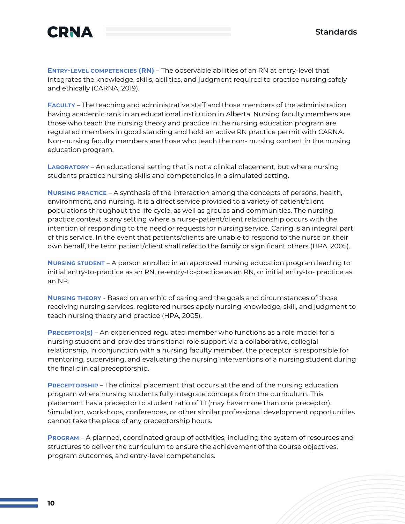

**ENTRY-LEVEL COMPETENCIES (RN)** – The observable abilities of an RN at entry-level that integrates the knowledge, skills, abilities, and judgment required to practice nursing safely and ethically (CARNA, 2019).

**FACULTY** – The teaching and administrative staff and those members of the administration having academic rank in an educational institution in Alberta. Nursing faculty members are those who teach the nursing theory and practice in the nursing education program are regulated members in good standing and hold an active RN practice permit with CARNA. Non-nursing faculty members are those who teach the non- nursing content in the nursing education program.

**LABORATORY** – An educational setting that is not a clinical placement, but where nursing students practice nursing skills and competencies in a simulated setting.

**NURSING PRACTICE** – A synthesis of the interaction among the concepts of persons, health, environment, and nursing. It is a direct service provided to a variety of patient/client populations throughout the life cycle, as well as groups and communities. The nursing practice context is any setting where a nurse-patient/client relationship occurs with the intention of responding to the need or requests for nursing service. Caring is an integral part of this service. In the event that patients/clients are unable to respond to the nurse on their own behalf, the term patient/client shall refer to the family or significant others (HPA, 2005).

**NURSING STUDENT** – A person enrolled in an approved nursing education program leading to initial entry-to-practice as an RN, re-entry-to-practice as an RN, or initial entry-to- practice as an NP.

**NURSING THEORY** - Based on an ethic of caring and the goals and circumstances of those receiving nursing services, registered nurses apply nursing knowledge, skill, and judgment to teach nursing theory and practice (HPA, 2005).

**PRECEPTOR(S)** – An experienced regulated member who functions as a role model for a nursing student and provides transitional role support via a collaborative, collegial relationship. In conjunction with a nursing faculty member, the preceptor is responsible for mentoring, supervising, and evaluating the nursing interventions of a nursing student during the final clinical preceptorship.

**PRECEPTORSHIP** – The clinical placement that occurs at the end of the nursing education program where nursing students fully integrate concepts from the curriculum. This placement has a preceptor to student ratio of 1:1 (may have more than one preceptor). Simulation, workshops, conferences, or other similar professional development opportunities cannot take the place of any preceptorship hours.

**PROGRAM** – A planned, coordinated group of activities, including the system of resources and structures to deliver the curriculum to ensure the achievement of the course objectives, program outcomes, and entry-level competencies.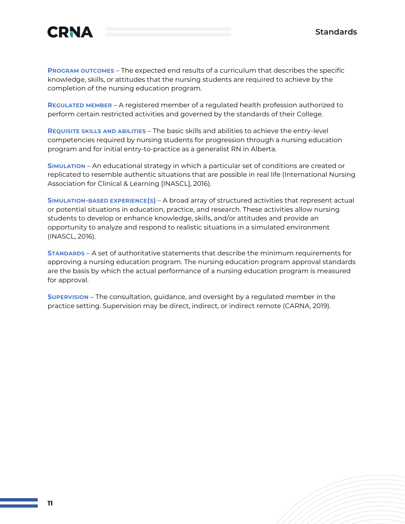

**PROGRAM OUTCOMES** – The expected end results of a curriculum that describes the specific knowledge, skills, or attitudes that the nursing students are required to achieve by the completion of the nursing education program.

**REGULATED MEMBER** – A registered member of a regulated health profession authorized to perform certain restricted activities and governed by the standards of their College.

**REQUISITE SKILLS AND ABILITIES** – The basic skills and abilities to achieve the entry-level competencies required by nursing students for progression through a nursing education program and for initial entry-to-practice as a generalist RN in Alberta.

**SIMULATION** – An educational strategy in which a particular set of conditions are created or replicated to resemble authentic situations that are possible in real life (International Nursing Association for Clinical & Learning [INASCL], 2016).

**SIMULATION-BASED EXPERIENCE(S)** – A broad array of structured activities that represent actual or potential situations in education, practice, and research. These activities allow nursing students to develop or enhance knowledge, skills, and/or attitudes and provide an opportunity to analyze and respond to realistic situations in a simulated environment (INASCL, 2016).

**STANDARDS** – A set of authoritative statements that describe the minimum requirements for approving a nursing education program. The nursing education program approval standards are the basis by which the actual performance of a nursing education program is measured for approval.

**SUPERVISION** – The consultation, guidance, and oversight by a regulated member in the practice setting. Supervision may be direct, indirect, or indirect remote (CARNA, 2019).